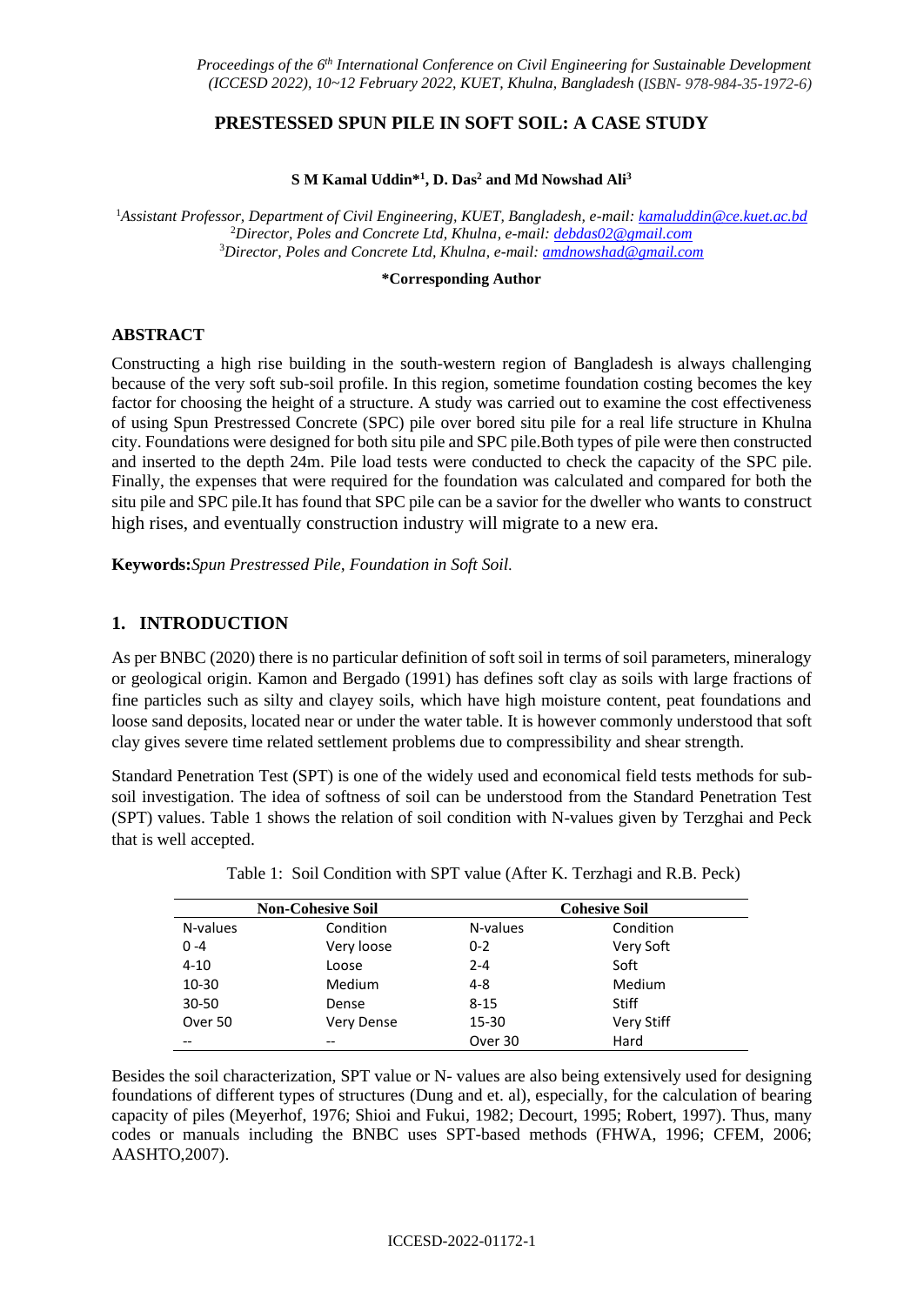### **PRESTESSED SPUN PILE IN SOFT SOIL: A CASE STUDY**

#### **S M Kamal Uddin\* 1 , D. Das<sup>2</sup> and Md Nowshad Ali<sup>3</sup>**

<sup>1</sup>*Assistant Professor, Department of Civil Engineering, KUET, Bangladesh, e-mail[: kamaluddin@ce.kuet.ac.bd](mailto:kamaluddin@ce.kuet.ac.bd)* <sup>2</sup>*Director, Poles and Concrete Ltd, Khulna, e-mail: [debdas02@gmail.com](mailto:debdas02@gmail.com)* <sup>3</sup>*Director, Poles and Concrete Ltd, Khulna, e-mail: [amdnowshad@gmail.com](mailto:amdnowshad@gmail.com)*

**\*Corresponding Author**

#### **ABSTRACT**

Constructing a high rise building in the south-western region of Bangladesh is always challenging because of the very soft sub-soil profile. In this region, sometime foundation costing becomes the key factor for choosing the height of a structure. A study was carried out to examine the cost effectiveness of using Spun Prestressed Concrete (SPC) pile over bored situ pile for a real life structure in Khulna city. Foundations were designed for both situ pile and SPC pile.Both types of pile were then constructed and inserted to the depth 24m. Pile load tests were conducted to check the capacity of the SPC pile. Finally, the expenses that were required for the foundation was calculated and compared for both the situ pile and SPC pile.It has found that SPC pile can be a savior for the dweller who wants to construct high rises, and eventually construction industry will migrate to a new era.

**Keywords:***Spun Prestressed Pile, Foundation in Soft Soil.*

# **1. INTRODUCTION**

As per BNBC (2020) there is no particular definition of soft soil in terms of soil parameters, mineralogy or geological origin. Kamon and Bergado (1991) has defines soft clay as soils with large fractions of fine particles such as silty and clayey soils, which have high moisture content, peat foundations and loose sand deposits, located near or under the water table. It is however commonly understood that soft clay gives severe time related settlement problems due to compressibility and shear strength.

Standard Penetration Test (SPT) is one of the widely used and economical field tests methods for subsoil investigation. The idea of softness of soil can be understood from the Standard Penetration Test (SPT) values. Table 1 shows the relation of soil condition with N-values given by Terzghai and Peck that is well accepted.

| <b>Non-Cohesive Soil</b> |                   | <b>Cohesive Soil</b> |              |  |
|--------------------------|-------------------|----------------------|--------------|--|
| N-values                 | Condition         | N-values             | Condition    |  |
| $0 - 4$                  | Very loose        | $0 - 2$              | Very Soft    |  |
| $4 - 10$                 | Loose             | $2 - 4$              | Soft         |  |
| 10-30                    | Medium            | $4 - 8$              | Medium       |  |
| 30-50                    | Dense             | $8 - 15$             | <b>Stiff</b> |  |
| Over 50                  | <b>Very Dense</b> | 15-30                | Very Stiff   |  |
| --                       | --                | Over 30              | Hard         |  |

| Table 1: Soil Condition with SPT value (After K. Terzhagi and R.B. Peck) |  |  |  |
|--------------------------------------------------------------------------|--|--|--|
|                                                                          |  |  |  |

Besides the soil characterization, SPT value or N- values are also being extensively used for designing foundations of different types of structures (Dung and et. al), especially, for the calculation of bearing capacity of piles (Meyerhof, 1976; Shioi and Fukui, 1982; Decourt, 1995; Robert, 1997). Thus, many codes or manuals including the BNBC uses SPT-based methods (FHWA, 1996; CFEM, 2006; AASHTO,2007).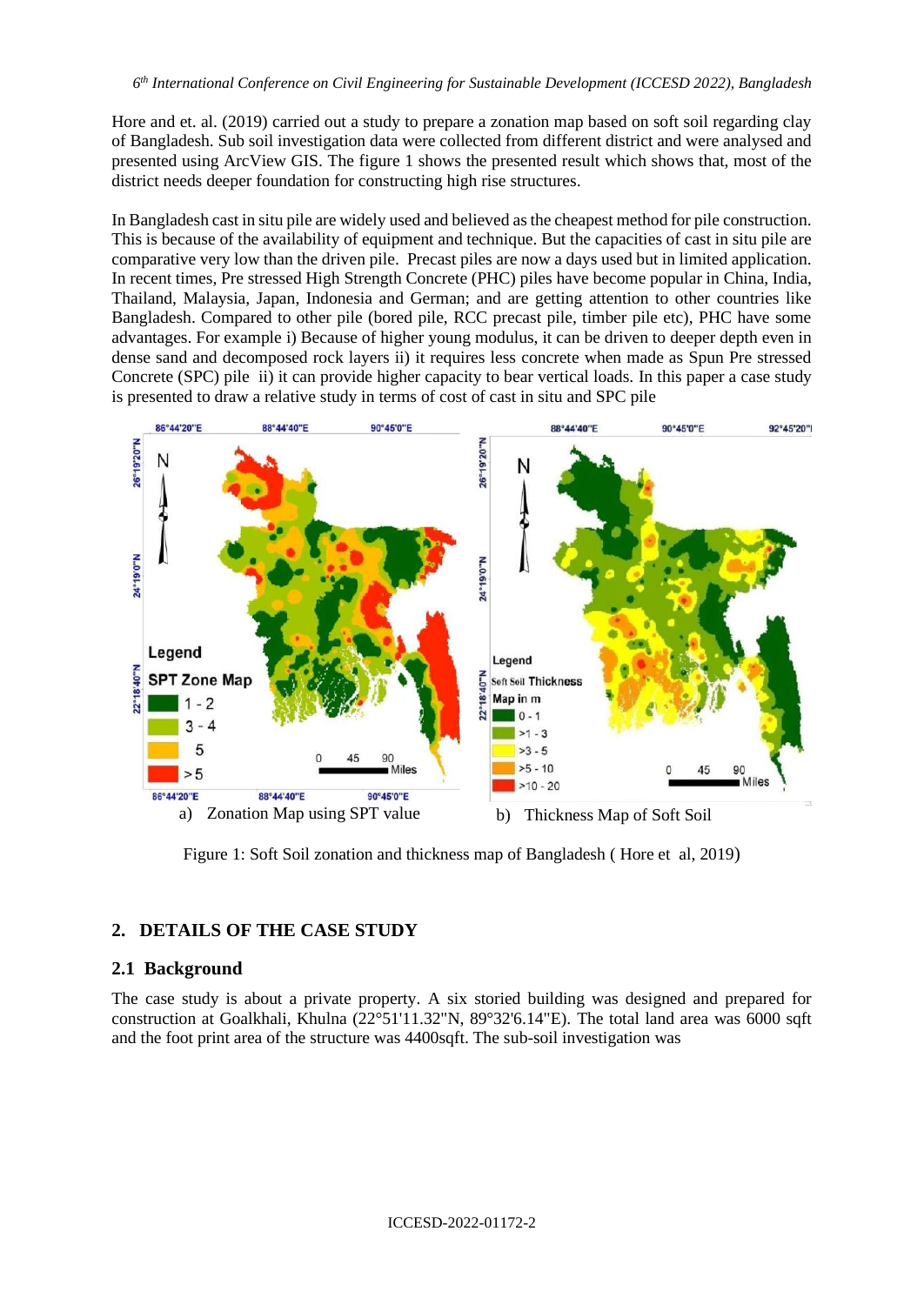Hore and et. al. (2019) carried out a study to prepare a zonation map based on soft soil regarding clay of Bangladesh. Sub soil investigation data were collected from different district and were analysed and presented using ArcView GIS. The figure 1 shows the presented result which shows that, most of the district needs deeper foundation for constructing high rise structures.

In Bangladesh cast in situ pile are widely used and believed as the cheapest method for pile construction. This is because of the availability of equipment and technique. But the capacities of cast in situ pile are comparative very low than the driven pile. Precast piles are now a days used but in limited application. In recent times, Pre stressed High Strength Concrete (PHC) piles have become popular in China, India, Thailand, Malaysia, Japan, Indonesia and German; and are getting attention to other countries like Bangladesh. Compared to other pile (bored pile, RCC precast pile, timber pile etc), PHC have some advantages. For example i) Because of higher young modulus, it can be driven to deeper depth even in dense sand and decomposed rock layers ii) it requires less concrete when made as Spun Pre stressed Concrete (SPC) pile ii) it can provide higher capacity to bear vertical loads. In this paper a case study is presented to draw a relative study in terms of cost of cast in situ and SPC pile



Figure 1: Soft Soil zonation and thickness map of Bangladesh ( Hore et al, 2019)

# **2. DETAILS OF THE CASE STUDY**

### **2.1 Background**

The case study is about a private property. A six storied building was designed and prepared for construction at Goalkhali, Khulna (22°51'11.32"N, 89°32'6.14"E). The total land area was 6000 sqft and the foot print area of the structure was 4400sqft. The sub-soil investigation was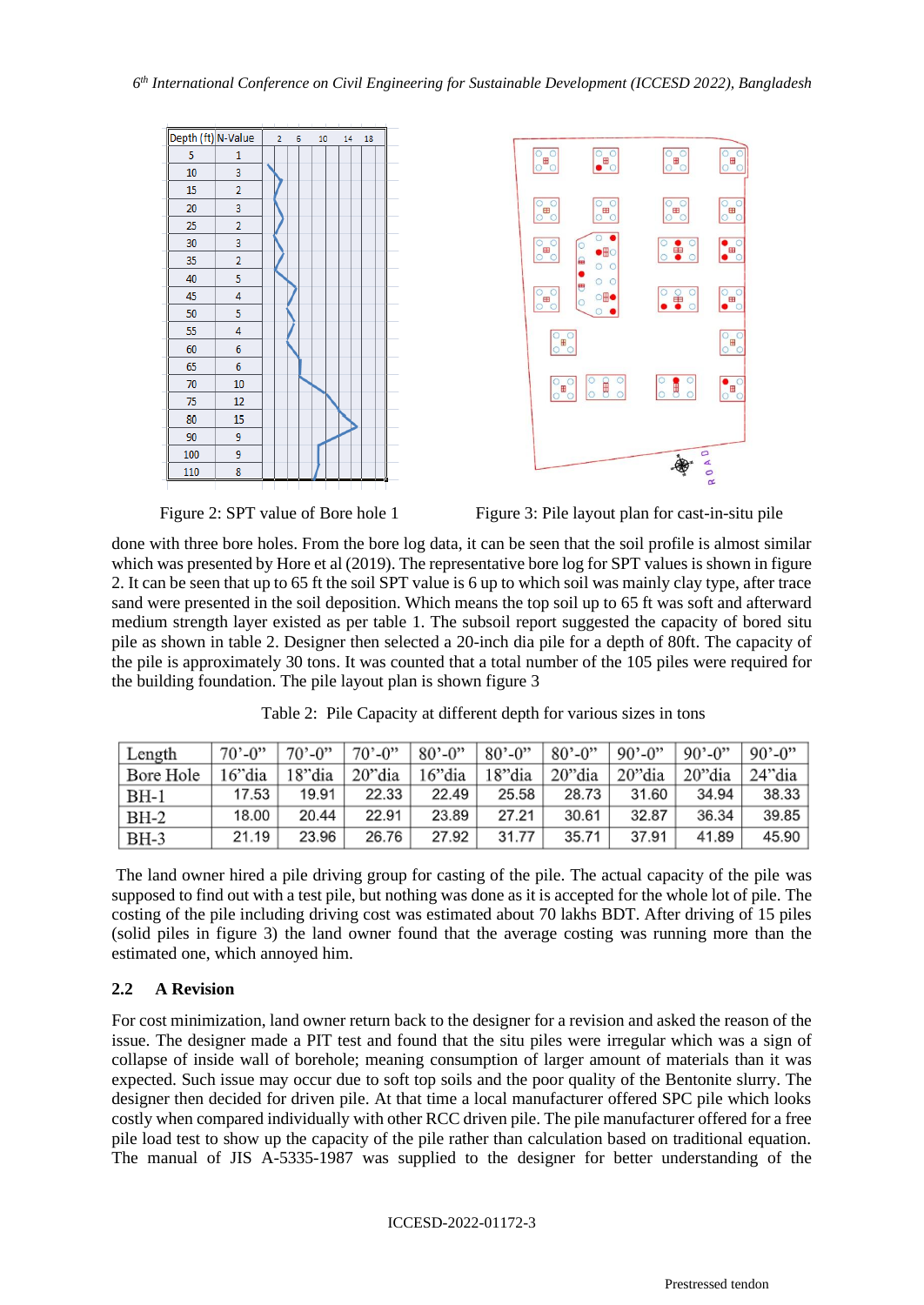





Figure 2: SPT value of Bore hole 1 Figure 3: Pile layout plan for cast-in-situ pile

done with three bore holes. From the bore log data, it can be seen that the soil profile is almost similar which was presented by Hore et al (2019). The representative bore log for SPT values is shown in figure 2. It can be seen that up to 65 ft the soil SPT value is 6 up to which soil was mainly clay type, after trace sand were presented in the soil deposition. Which means the top soil up to 65 ft was soft and afterward medium strength layer existed as per table 1. The subsoil report suggested the capacity of bored situ pile as shown in table 2. Designer then selected a 20-inch dia pile for a depth of 80ft. The capacity of the pile is approximately 30 tons. It was counted that a total number of the 105 piles were required for the building foundation. The pile layout plan is shown figure 3

| Length    | $70^{\circ} - 0$ " | $70^{\circ} - 0^{\circ}$ | $70^{\circ} - 0$ "                | $ 80, -0"$ | $80^{\circ} - 0$ " | $80^{\circ} - 0^{\circ}$ | $90^{\circ} - 0^{\circ}$ | $90^{\circ} - 0^{\prime\prime}$ | $ 90, -0$ |
|-----------|--------------------|--------------------------|-----------------------------------|------------|--------------------|--------------------------|--------------------------|---------------------------------|-----------|
| Bore Hole | 16"dia             |                          | 18"dia   20"dia   16"dia   18"dia |            |                    | 20"dia                   | 20"dia                   | 20"dia                          | 24"dia    |
| $BH-1$    | 17.53              | 19.91                    | 22.33                             | 22.49      | 25.58              | 28.73                    | 31.60                    | 34.94                           | 38.33     |
| $BH-2$    | 18.00              | 20.44                    | 22.91                             | 23.89      | 27.21              | 30.61                    | 32.87                    | 36.34                           | 39.85     |
| $BH-3$    | 21.19              | 23.96                    | 26.76                             | 27.92      | 31.77              | 35.71                    | 37.91                    | 41.89                           | 45.90     |

Table 2: Pile Capacity at different depth for various sizes in tons

The land owner hired a pile driving group for casting of the pile. The actual capacity of the pile was supposed to find out with a test pile, but nothing was done as it is accepted for the whole lot of pile. The costing of the pile including driving cost was estimated about 70 lakhs BDT. After driving of 15 piles (solid piles in figure 3) the land owner found that the average costing was running more than the estimated one, which annoyed him.

### **2.2 A Revision**

For cost minimization, land owner return back to the designer for a revision and asked the reason of the issue. The designer made a PIT test and found that the situ piles were irregular which was a sign of collapse of inside wall of borehole; meaning consumption of larger amount of materials than it was expected. Such issue may occur due to soft top soils and the poor quality of the Bentonite slurry. The designer then decided for driven pile. At that time a local manufacturer offered SPC pile which looks costly when compared individually with other RCC driven pile. The pile manufacturer offered for a free pile load test to show up the capacity of the pile rather than calculation based on traditional equation. The manual of JIS A-5335-1987 was supplied to the designer for better understanding of the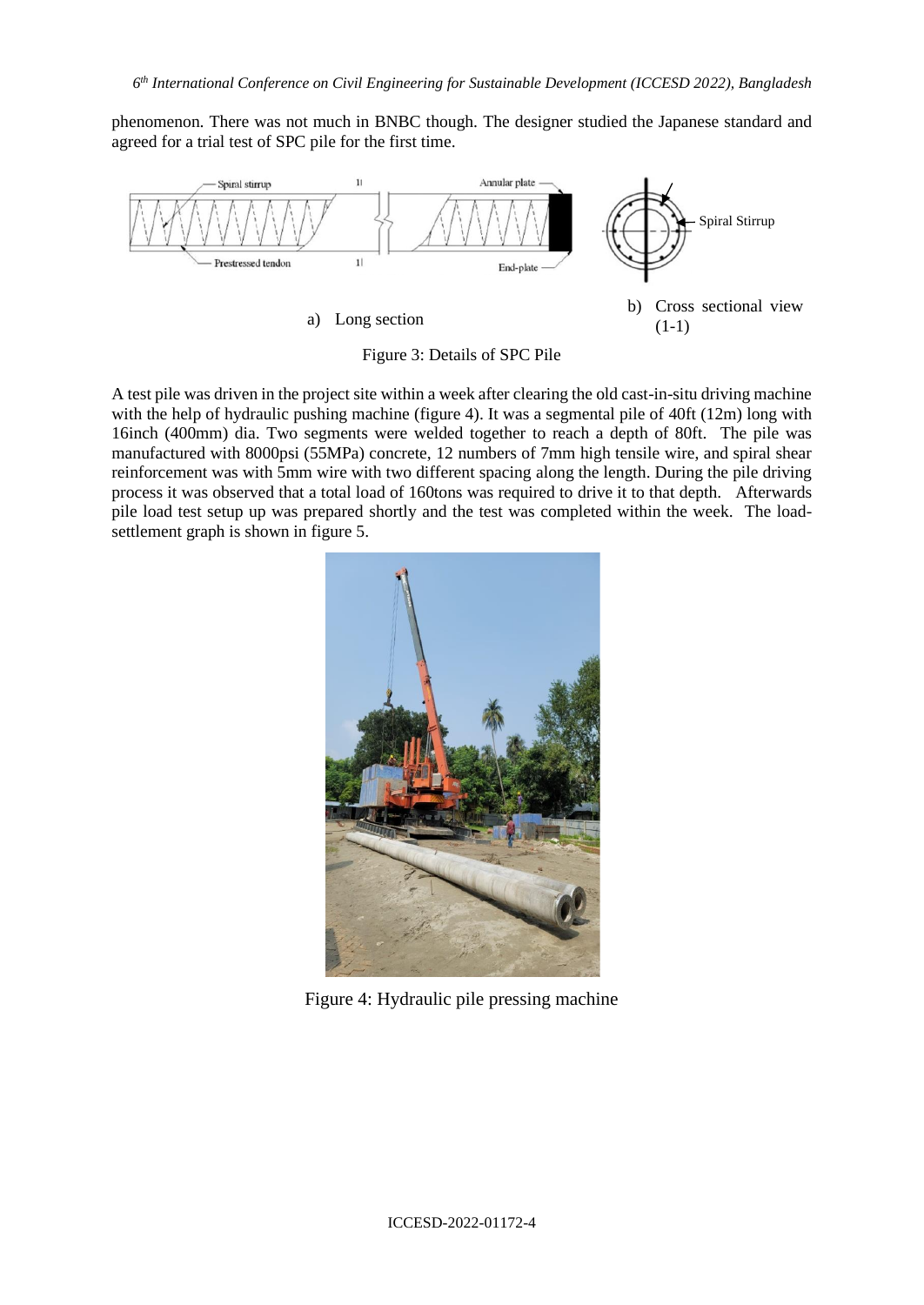phenomenon. There was not much in BNBC though. The designer studied the Japanese standard and agreed for a trial test of SPC pile for the first time.



Figure 3: Details of SPC Pile

A test pile was driven in the project site within a week after clearing the old cast-in-situ driving machine with the help of hydraulic pushing machine (figure 4). It was a segmental pile of 40ft (12m) long with 16inch (400mm) dia. Two segments were welded together to reach a depth of 80ft. The pile was manufactured with 8000psi (55MPa) concrete, 12 numbers of 7mm high tensile wire, and spiral shear reinforcement was with 5mm wire with two different spacing along the length. During the pile driving process it was observed that a total load of 160tons was required to drive it to that depth. Afterwards pile load test setup up was prepared shortly and the test was completed within the week. The loadsettlement graph is shown in figure 5.



Figure 4: Hydraulic pile pressing machine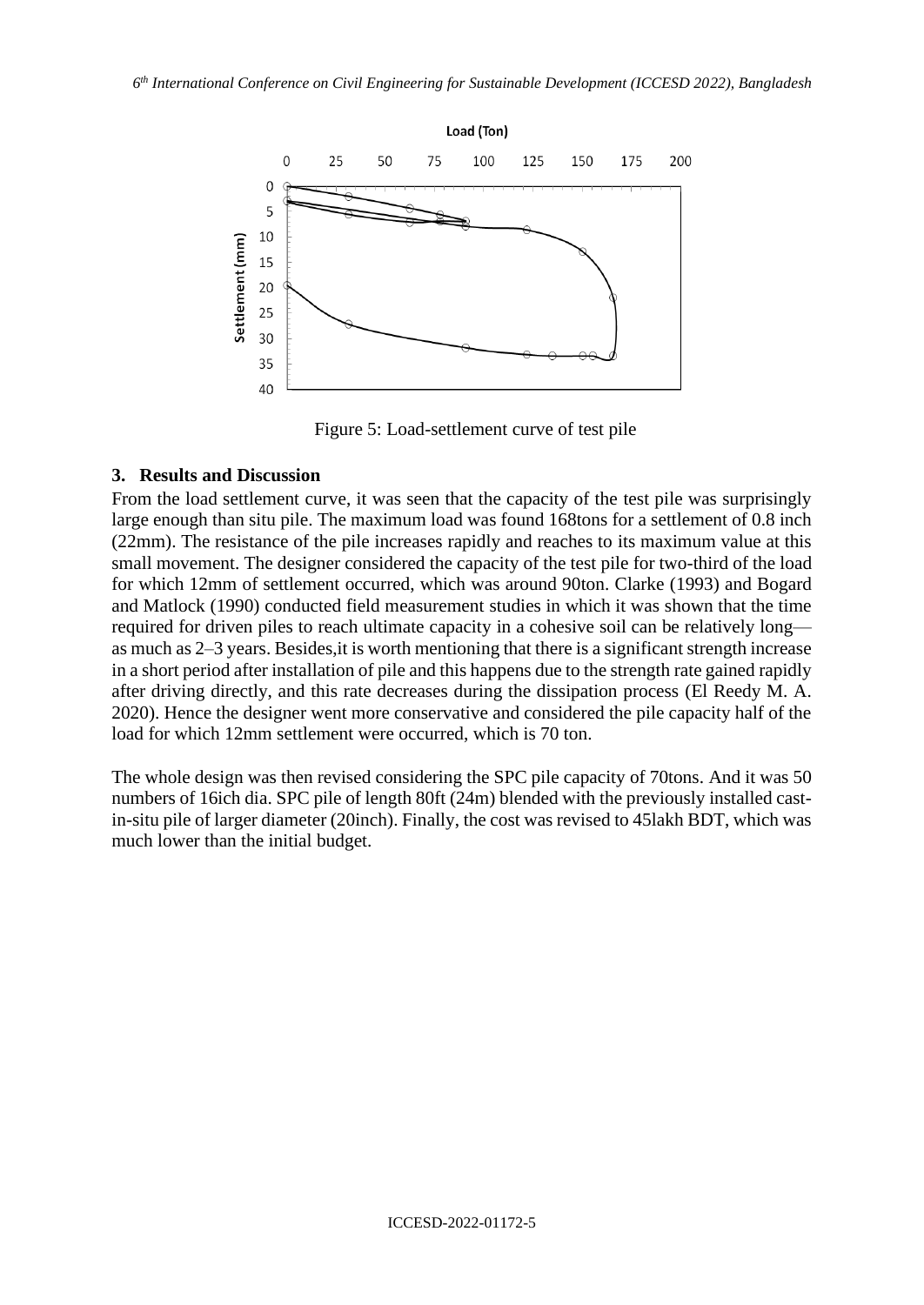

Figure 5: Load-settlement curve of test pile

### **3. Results and Discussion**

From the load settlement curve, it was seen that the capacity of the test pile was surprisingly large enough than situ pile. The maximum load was found 168tons for a settlement of 0.8 inch (22mm). The resistance of the pile increases rapidly and reaches to its maximum value at this small movement. The designer considered the capacity of the test pile for two-third of the load for which 12mm of settlement occurred, which was around 90ton. Clarke (1993) and Bogard and Matlock (1990) conducted field measurement studies in which it was shown that the time required for driven piles to reach ultimate capacity in a [cohesive soil](https://www.sciencedirect.com/topics/engineering/cohesive-soil) can be relatively long as much as 2–3 years. Besides,it is worth mentioning that there is a significant strength increase in a short period after installation of pile and this happens due to the strength rate gained rapidly after driving directly, and this rate decreases during the dissipation process (El Reedy M. A. 2020). Hence the designer went more conservative and considered the pile capacity half of the load for which 12mm settlement were occurred, which is 70 ton.

The whole design was then revised considering the SPC pile capacity of 70tons. And it was 50 numbers of 16ich dia. SPC pile of length 80ft (24m) blended with the previously installed castin-situ pile of larger diameter (20inch). Finally, the cost was revised to 45lakh BDT, which was much lower than the initial budget.